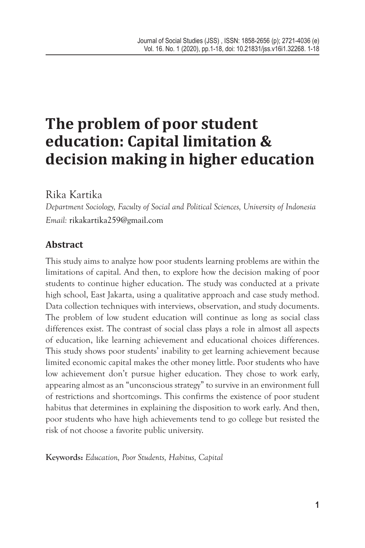# **The problem of poor student education: Capital limitation & decision making in higher education**

# Rika Kartika

*Department Sociology, Faculty of Social and Political Sciences, University of Indonesia Email:* rikakartika259@gmail.com

# **Abstract**

This study aims to analyze how poor students learning problems are within the limitations of capital. And then, to explore how the decision making of poor students to continue higher education. The study was conducted at a private high school, East Jakarta, using a qualitative approach and case study method. Data collection techniques with interviews, observation, and study documents. The problem of low student education will continue as long as social class differences exist. The contrast of social class plays a role in almost all aspects of education, like learning achievement and educational choices differences. This study shows poor students' inability to get learning achievement because limited economic capital makes the other money little. Poor students who have low achievement don't pursue higher education. They chose to work early, appearing almost as an "unconscious strategy" to survive in an environment full of restrictions and shortcomings. This confirms the existence of poor student habitus that determines in explaining the disposition to work early. And then, poor students who have high achievements tend to go college but resisted the risk of not choose a favorite public university.

**Keywords:** *Education, Poor Students, Habitus, Capital*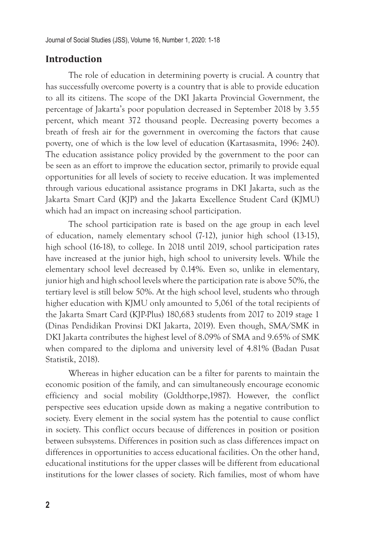# **Introduction**

The role of education in determining poverty is crucial. A country that has successfully overcome poverty is a country that is able to provide education to all its citizens. The scope of the DKI Jakarta Provincial Government, the percentage of Jakarta's poor population decreased in September 2018 by 3.55 percent, which meant 372 thousand people. Decreasing poverty becomes a breath of fresh air for the government in overcoming the factors that cause poverty, one of which is the low level of education (Kartasasmita, 1996: 240). The education assistance policy provided by the government to the poor can be seen as an effort to improve the education sector, primarily to provide equal opportunities for all levels of society to receive education. It was implemented through various educational assistance programs in DKI Jakarta, such as the Jakarta Smart Card (KJP) and the Jakarta Excellence Student Card (KJMU) which had an impact on increasing school participation.

The school participation rate is based on the age group in each level of education, namely elementary school (7-12), junior high school (13-15), high school (16-18), to college. In 2018 until 2019, school participation rates have increased at the junior high, high school to university levels. While the elementary school level decreased by 0.14%. Even so, unlike in elementary, junior high and high school levels where the participation rate is above 50%, the tertiary level is still below 50%. At the high school level, students who through higher education with KJMU only amounted to 5,061 of the total recipients of the Jakarta Smart Card (KJP-Plus) 180,683 students from 2017 to 2019 stage 1 (Dinas Pendidikan Provinsi DKI Jakarta, 2019). Even though, SMA/SMK in DKI Jakarta contributes the highest level of 8.09% of SMA and 9.65% of SMK when compared to the diploma and university level of 4.81% (Badan Pusat Statistik, 2018).

Whereas in higher education can be a filter for parents to maintain the economic position of the family, and can simultaneously encourage economic efficiency and social mobility (Goldthorpe,1987). However, the conflict perspective sees education upside down as making a negative contribution to society. Every element in the social system has the potential to cause conflict in society. This conflict occurs because of differences in position or position between subsystems. Differences in position such as class differences impact on differences in opportunities to access educational facilities. On the other hand, educational institutions for the upper classes will be different from educational institutions for the lower classes of society. Rich families, most of whom have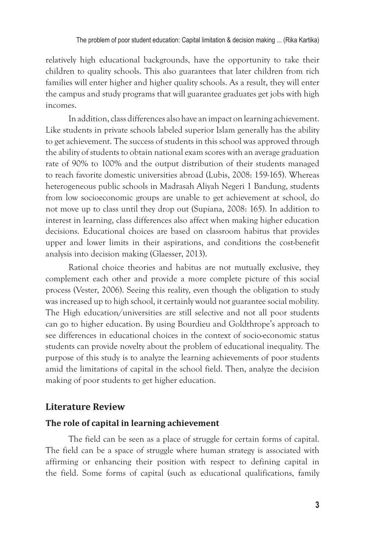relatively high educational backgrounds, have the opportunity to take their children to quality schools. This also guarantees that later children from rich families will enter higher and higher quality schools. As a result, they will enter the campus and study programs that will guarantee graduates get jobs with high incomes.

In addition, class differences also have an impact on learning achievement. Like students in private schools labeled superior Islam generally has the ability to get achievement. The success of students in this school was approved through the ability of students to obtain national exam scores with an average graduation rate of 90% to 100% and the output distribution of their students managed to reach favorite domestic universities abroad (Lubis, 2008: 159-165). Whereas heterogeneous public schools in Madrasah Aliyah Negeri 1 Bandung, students from low socioeconomic groups are unable to get achievement at school, do not move up to class until they drop out (Supiana, 2008: 165). In addition to interest in learning, class differences also affect when making higher education decisions. Educational choices are based on classroom habitus that provides upper and lower limits in their aspirations, and conditions the cost-benefit analysis into decision making (Glaesser, 2013).

Rational choice theories and habitus are not mutually exclusive, they complement each other and provide a more complete picture of this social process (Vester, 2006). Seeing this reality, even though the obligation to study was increased up to high school, it certainly would not guarantee social mobility. The High education/universities are still selective and not all poor students can go to higher education. By using Bourdieu and Goldthrope's approach to see differences in educational choices in the context of socio-economic status students can provide novelty about the problem of educational inequality. The purpose of this study is to analyze the learning achievements of poor students amid the limitations of capital in the school field. Then, analyze the decision making of poor students to get higher education.

#### **Literature Review**

#### **The role of capital in learning achievement**

The field can be seen as a place of struggle for certain forms of capital. The field can be a space of struggle where human strategy is associated with affirming or enhancing their position with respect to defining capital in the field. Some forms of capital (such as educational qualifications, family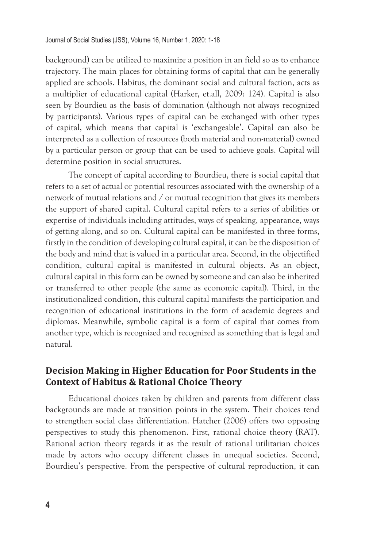background) can be utilized to maximize a position in an field so as to enhance trajectory. The main places for obtaining forms of capital that can be generally applied are schools. Habitus, the dominant social and cultural faction, acts as a multiplier of educational capital (Harker, et.all, 2009: 124). Capital is also seen by Bourdieu as the basis of domination (although not always recognized by participants). Various types of capital can be exchanged with other types of capital, which means that capital is 'exchangeable'. Capital can also be interpreted as a collection of resources (both material and non-material) owned by a particular person or group that can be used to achieve goals. Capital will determine position in social structures.

The concept of capital according to Bourdieu, there is social capital that refers to a set of actual or potential resources associated with the ownership of a network of mutual relations and / or mutual recognition that gives its members the support of shared capital. Cultural capital refers to a series of abilities or expertise of individuals including attitudes, ways of speaking, appearance, ways of getting along, and so on. Cultural capital can be manifested in three forms, firstly in the condition of developing cultural capital, it can be the disposition of the body and mind that is valued in a particular area. Second, in the objectified condition, cultural capital is manifested in cultural objects. As an object, cultural capital in this form can be owned by someone and can also be inherited or transferred to other people (the same as economic capital). Third, in the institutionalized condition, this cultural capital manifests the participation and recognition of educational institutions in the form of academic degrees and diplomas. Meanwhile, symbolic capital is a form of capital that comes from another type, which is recognized and recognized as something that is legal and natural.

# **Decision Making in Higher Education for Poor Students in the Context of Habitus & Rational Choice Theory**

Educational choices taken by children and parents from different class backgrounds are made at transition points in the system. Their choices tend to strengthen social class differentiation. Hatcher (2006) offers two opposing perspectives to study this phenomenon. First, rational choice theory (RAT). Rational action theory regards it as the result of rational utilitarian choices made by actors who occupy different classes in unequal societies. Second, Bourdieu's perspective. From the perspective of cultural reproduction, it can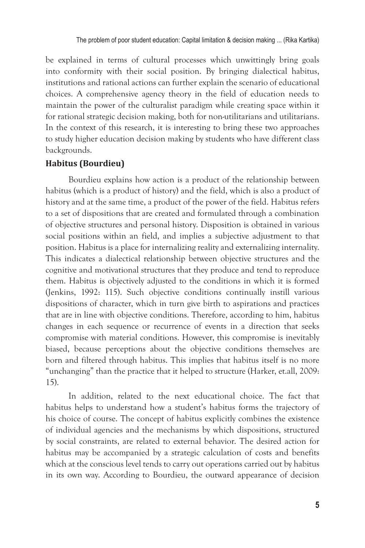be explained in terms of cultural processes which unwittingly bring goals into conformity with their social position. By bringing dialectical habitus, institutions and rational actions can further explain the scenario of educational choices. A comprehensive agency theory in the field of education needs to maintain the power of the culturalist paradigm while creating space within it for rational strategic decision making, both for non-utilitarians and utilitarians. In the context of this research, it is interesting to bring these two approaches to study higher education decision making by students who have different class backgrounds.

# **Habitus (Bourdieu)**

Bourdieu explains how action is a product of the relationship between habitus (which is a product of history) and the field, which is also a product of history and at the same time, a product of the power of the field. Habitus refers to a set of dispositions that are created and formulated through a combination of objective structures and personal history. Disposition is obtained in various social positions within an field, and implies a subjective adjustment to that position. Habitus is a place for internalizing reality and externalizing internality. This indicates a dialectical relationship between objective structures and the cognitive and motivational structures that they produce and tend to reproduce them. Habitus is objectively adjusted to the conditions in which it is formed (Jenkins, 1992: 115). Such objective conditions continually instill various dispositions of character, which in turn give birth to aspirations and practices that are in line with objective conditions. Therefore, according to him, habitus changes in each sequence or recurrence of events in a direction that seeks compromise with material conditions. However, this compromise is inevitably biased, because perceptions about the objective conditions themselves are born and filtered through habitus. This implies that habitus itself is no more "unchanging" than the practice that it helped to structure (Harker, et.all, 2009: 15).

In addition, related to the next educational choice. The fact that habitus helps to understand how a student's habitus forms the trajectory of his choice of course. The concept of habitus explicitly combines the existence of individual agencies and the mechanisms by which dispositions, structured by social constraints, are related to external behavior. The desired action for habitus may be accompanied by a strategic calculation of costs and benefits which at the conscious level tends to carry out operations carried out by habitus in its own way. According to Bourdieu, the outward appearance of decision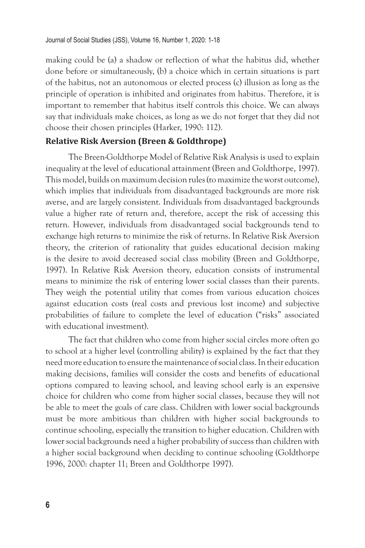making could be (a) a shadow or reflection of what the habitus did, whether done before or simultaneously, (b) a choice which in certain situations is part of the habitus, not an autonomous or elected process (c) illusion as long as the principle of operation is inhibited and originates from habitus. Therefore, it is important to remember that habitus itself controls this choice. We can always say that individuals make choices, as long as we do not forget that they did not choose their chosen principles (Harker, 1990: 112).

#### **Relative Risk Aversion (Breen & Goldthrope)**

The Breen-Goldthorpe Model of Relative Risk Analysis is used to explain inequality at the level of educational attainment (Breen and Goldthorpe, 1997). This model, builds on maximum decision rules (to maximize the worst outcome), which implies that individuals from disadvantaged backgrounds are more risk averse, and are largely consistent. Individuals from disadvantaged backgrounds value a higher rate of return and, therefore, accept the risk of accessing this return. However, individuals from disadvantaged social backgrounds tend to exchange high returns to minimize the risk of returns. In Relative Risk Aversion theory, the criterion of rationality that guides educational decision making is the desire to avoid decreased social class mobility (Breen and Goldthorpe, 1997). In Relative Risk Aversion theory, education consists of instrumental means to minimize the risk of entering lower social classes than their parents. They weigh the potential utility that comes from various education choices against education costs (real costs and previous lost income) and subjective probabilities of failure to complete the level of education ("risks" associated with educational investment).

The fact that children who come from higher social circles more often go to school at a higher level (controlling ability) is explained by the fact that they need more education to ensure the maintenance of social class. In their education making decisions, families will consider the costs and benefits of educational options compared to leaving school, and leaving school early is an expensive choice for children who come from higher social classes, because they will not be able to meet the goals of care class. Children with lower social backgrounds must be more ambitious than children with higher social backgrounds to continue schooling, especially the transition to higher education. Children with lower social backgrounds need a higher probability of success than children with a higher social background when deciding to continue schooling (Goldthorpe 1996, 2000: chapter 11; Breen and Goldthorpe 1997).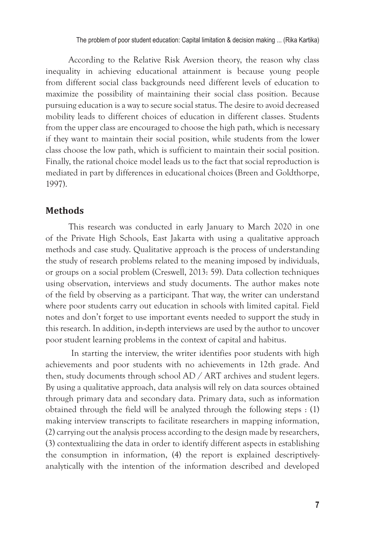According to the Relative Risk Aversion theory, the reason why class inequality in achieving educational attainment is because young people from different social class backgrounds need different levels of education to maximize the possibility of maintaining their social class position. Because pursuing education is a way to secure social status. The desire to avoid decreased mobility leads to different choices of education in different classes. Students from the upper class are encouraged to choose the high path, which is necessary if they want to maintain their social position, while students from the lower class choose the low path, which is sufficient to maintain their social position. Finally, the rational choice model leads us to the fact that social reproduction is mediated in part by differences in educational choices (Breen and Goldthorpe, 1997).

## **Methods**

This research was conducted in early January to March 2020 in one of the Private High Schools, East Jakarta with using a qualitative approach methods and case study. Qualitative approach is the process of understanding the study of research problems related to the meaning imposed by individuals, or groups on a social problem (Creswell, 2013: 59). Data collection techniques using observation, interviews and study documents. The author makes note of the field by observing as a participant. That way, the writer can understand where poor students carry out education in schools with limited capital. Field notes and don't forget to use important events needed to support the study in this research. In addition, in-depth interviews are used by the author to uncover poor student learning problems in the context of capital and habitus.

 In starting the interview, the writer identifies poor students with high achievements and poor students with no achievements in 12th grade. And then, study documents through school AD / ART archives and student legers. By using a qualitative approach, data analysis will rely on data sources obtained through primary data and secondary data. Primary data, such as information obtained through the field will be analyzed through the following steps : (1) making interview transcripts to facilitate researchers in mapping information, (2) carrying out the analysis process according to the design made by researchers, (3) contextualizing the data in order to identify different aspects in establishing the consumption in information, (4) the report is explained descriptivelyanalytically with the intention of the information described and developed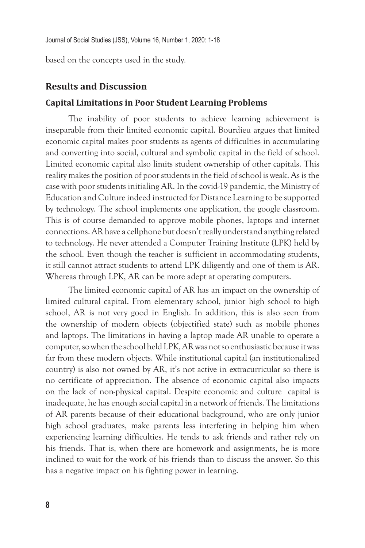based on the concepts used in the study.

#### **Results and Discussion**

#### **Capital Limitations in Poor Student Learning Problems**

The inability of poor students to achieve learning achievement is inseparable from their limited economic capital. Bourdieu argues that limited economic capital makes poor students as agents of difficulties in accumulating and converting into social, cultural and symbolic capital in the field of school. Limited economic capital also limits student ownership of other capitals. This reality makes the position of poor students in the field of school is weak. As is the case with poor students initialing AR. In the covid-19 pandemic, the Ministry of Education and Culture indeed instructed for Distance Learning to be supported by technology. The school implements one application, the google classroom. This is of course demanded to approve mobile phones, laptops and internet connections. AR have a cellphone but doesn't really understand anything related to technology. He never attended a Computer Training Institute (LPK) held by the school. Even though the teacher is sufficient in accommodating students, it still cannot attract students to attend LPK diligently and one of them is AR. Whereas through LPK, AR can be more adept at operating computers.

The limited economic capital of AR has an impact on the ownership of limited cultural capital. From elementary school, junior high school to high school, AR is not very good in English. In addition, this is also seen from the ownership of modern objects (objectified state) such as mobile phones and laptops. The limitations in having a laptop made AR unable to operate a computer, so when the school held LPK, AR was not so enthusiastic because it was far from these modern objects. While institutional capital (an institutionalized country) is also not owned by AR, it's not active in extracurricular so there is no certificate of appreciation. The absence of economic capital also impacts on the lack of non-physical capital. Despite economic and culture capital is inadequate, he has enough social capital in a network of friends. The limitations of AR parents because of their educational background, who are only junior high school graduates, make parents less interfering in helping him when experiencing learning difficulties. He tends to ask friends and rather rely on his friends. That is, when there are homework and assignments, he is more inclined to wait for the work of his friends than to discuss the answer. So this has a negative impact on his fighting power in learning.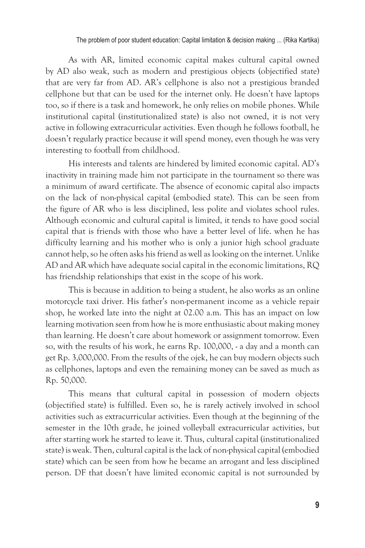As with AR, limited economic capital makes cultural capital owned by AD also weak, such as modern and prestigious objects (objectified state) that are very far from AD. AR's cellphone is also not a prestigious branded cellphone but that can be used for the internet only. He doesn't have laptops too, so if there is a task and homework, he only relies on mobile phones. While institutional capital (institutionalized state) is also not owned, it is not very active in following extracurricular activities. Even though he follows football, he doesn't regularly practice because it will spend money, even though he was very interesting to football from childhood.

His interests and talents are hindered by limited economic capital. AD's inactivity in training made him not participate in the tournament so there was a minimum of award certificate. The absence of economic capital also impacts on the lack of non-physical capital (embodied state). This can be seen from the figure of AR who is less disciplined, less polite and violates school rules. Although economic and cultural capital is limited, it tends to have good social capital that is friends with those who have a better level of life. when he has difficulty learning and his mother who is only a junior high school graduate cannot help, so he often asks his friend as well as looking on the internet. Unlike AD and AR which have adequate social capital in the economic limitations, RQ has friendship relationships that exist in the scope of his work.

This is because in addition to being a student, he also works as an online motorcycle taxi driver. His father's non-permanent income as a vehicle repair shop, he worked late into the night at 02.00 a.m. This has an impact on low learning motivation seen from how he is more enthusiastic about making money than learning. He doesn't care about homework or assignment tomorrow. Even so, with the results of his work, he earns Rp. 100,000, - a day and a month can get Rp. 3,000,000. From the results of the ojek, he can buy modern objects such as cellphones, laptops and even the remaining money can be saved as much as Rp. 50,000.

This means that cultural capital in possession of modern objects (objectified state) is fulfilled. Even so, he is rarely actively involved in school activities such as extracurricular activities. Even though at the beginning of the semester in the 10th grade, he joined volleyball extracurricular activities, but after starting work he started to leave it. Thus, cultural capital (institutionalized state) is weak. Then, cultural capital is the lack of non-physical capital (embodied state) which can be seen from how he became an arrogant and less disciplined person. DF that doesn't have limited economic capital is not surrounded by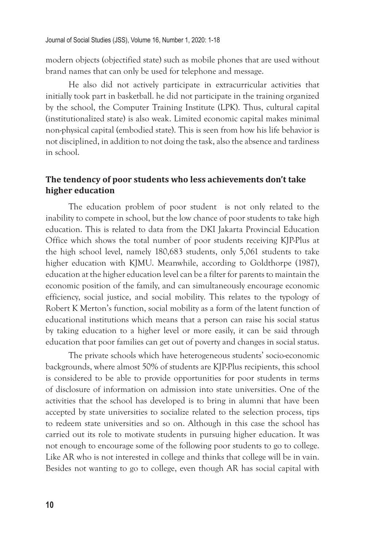modern objects (objectified state) such as mobile phones that are used without brand names that can only be used for telephone and message.

He also did not actively participate in extracurricular activities that initially took part in basketball. he did not participate in the training organized by the school, the Computer Training Institute (LPK). Thus, cultural capital (institutionalized state) is also weak. Limited economic capital makes minimal non-physical capital (embodied state). This is seen from how his life behavior is not disciplined, in addition to not doing the task, also the absence and tardiness in school.

# **The tendency of poor students who less achievements don't take higher education**

The education problem of poor student is not only related to the inability to compete in school, but the low chance of poor students to take high education. This is related to data from the DKI Jakarta Provincial Education Office which shows the total number of poor students receiving KJP-Plus at the high school level, namely 180,683 students, only 5,061 students to take higher education with KJMU. Meanwhile, according to Goldthorpe (1987), education at the higher education level can be a filter for parents to maintain the economic position of the family, and can simultaneously encourage economic efficiency, social justice, and social mobility. This relates to the typology of Robert K Merton's function, social mobility as a form of the latent function of educational institutions which means that a person can raise his social status by taking education to a higher level or more easily, it can be said through education that poor families can get out of poverty and changes in social status.

The private schools which have heterogeneous students' socio-economic backgrounds, where almost 50% of students are KJP-Plus recipients, this school is considered to be able to provide opportunities for poor students in terms of disclosure of information on admission into state universities. One of the activities that the school has developed is to bring in alumni that have been accepted by state universities to socialize related to the selection process, tips to redeem state universities and so on. Although in this case the school has carried out its role to motivate students in pursuing higher education. It was not enough to encourage some of the following poor students to go to college. Like AR who is not interested in college and thinks that college will be in vain. Besides not wanting to go to college, even though AR has social capital with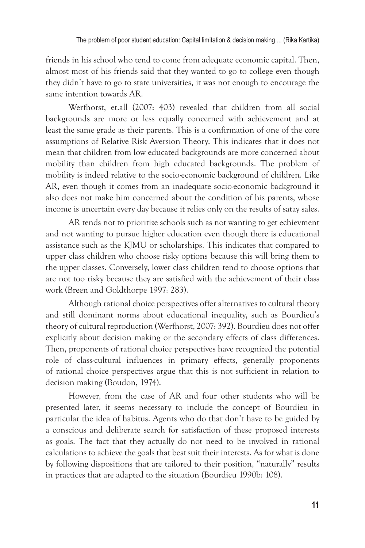friends in his school who tend to come from adequate economic capital. Then, almost most of his friends said that they wanted to go to college even though they didn't have to go to state universities, it was not enough to encourage the same intention towards AR.

Werfhorst, et.all (2007: 403) revealed that children from all social backgrounds are more or less equally concerned with achievement and at least the same grade as their parents. This is a confirmation of one of the core assumptions of Relative Risk Aversion Theory. This indicates that it does not mean that children from low educated backgrounds are more concerned about mobility than children from high educated backgrounds. The problem of mobility is indeed relative to the socio-economic background of children. Like AR, even though it comes from an inadequate socio-economic background it also does not make him concerned about the condition of his parents, whose income is uncertain every day because it relies only on the results of satay sales.

AR tends not to prioritize schools such as not wanting to get echievment and not wanting to pursue higher education even though there is educational assistance such as the KJMU or scholarships. This indicates that compared to upper class children who choose risky options because this will bring them to the upper classes. Conversely, lower class children tend to choose options that are not too risky because they are satisfied with the achievement of their class work (Breen and Goldthorpe 1997: 283).

Although rational choice perspectives offer alternatives to cultural theory and still dominant norms about educational inequality, such as Bourdieu's theory of cultural reproduction (Werfhorst, 2007: 392). Bourdieu does not offer explicitly about decision making or the secondary effects of class differences. Then, proponents of rational choice perspectives have recognized the potential role of class-cultural influences in primary effects, generally proponents of rational choice perspectives argue that this is not sufficient in relation to decision making (Boudon, 1974).

However, from the case of AR and four other students who will be presented later, it seems necessary to include the concept of Bourdieu in particular the idea of habitus. Agents who do that don't have to be guided by a conscious and deliberate search for satisfaction of these proposed interests as goals. The fact that they actually do not need to be involved in rational calculations to achieve the goals that best suit their interests. As for what is done by following dispositions that are tailored to their position, "naturally" results in practices that are adapted to the situation (Bourdieu 1990b: 108).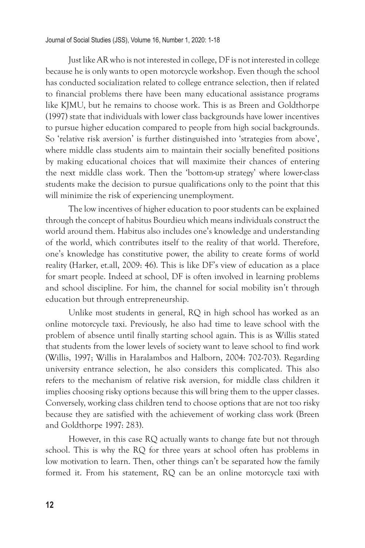Just like AR who is not interested in college, DF is not interested in college because he is only wants to open motorcycle workshop. Even though the school has conducted socialization related to college entrance selection, then if related to financial problems there have been many educational assistance programs like KJMU, but he remains to choose work. This is as Breen and Goldthorpe (1997) state that individuals with lower class backgrounds have lower incentives to pursue higher education compared to people from high social backgrounds. So 'relative risk aversion' is further distinguished into 'strategies from above', where middle class students aim to maintain their socially benefited positions by making educational choices that will maximize their chances of entering the next middle class work. Then the 'bottom-up strategy' where lower-class students make the decision to pursue qualifications only to the point that this will minimize the risk of experiencing unemployment.

The low incentives of higher education to poor students can be explained through the concept of habitus Bourdieu which means individuals construct the world around them. Habitus also includes one's knowledge and understanding of the world, which contributes itself to the reality of that world. Therefore, one's knowledge has constitutive power, the ability to create forms of world reality (Harker, et.all, 2009: 46). This is like DF's view of education as a place for smart people. Indeed at school, DF is often involved in learning problems and school discipline. For him, the channel for social mobility isn't through education but through entrepreneurship.

Unlike most students in general, RQ in high school has worked as an online motorcycle taxi. Previously, he also had time to leave school with the problem of absence until finally starting school again. This is as Willis stated that students from the lower levels of society want to leave school to find work (Willis, 1997; Willis in Haralambos and Halborn, 2004: 702-703). Regarding university entrance selection, he also considers this complicated. This also refers to the mechanism of relative risk aversion, for middle class children it implies choosing risky options because this will bring them to the upper classes. Conversely, working class children tend to choose options that are not too risky because they are satisfied with the achievement of working class work (Breen and Goldthorpe 1997: 283).

However, in this case RQ actually wants to change fate but not through school. This is why the RQ for three years at school often has problems in low motivation to learn. Then, other things can't be separated how the family formed it. From his statement, RQ can be an online motorcycle taxi with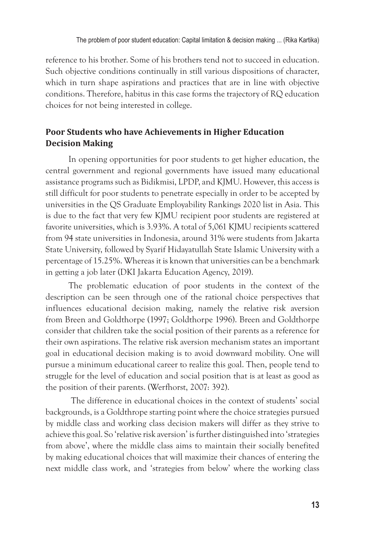reference to his brother. Some of his brothers tend not to succeed in education. Such objective conditions continually in still various dispositions of character, which in turn shape aspirations and practices that are in line with objective conditions. Therefore, habitus in this case forms the trajectory of RQ education choices for not being interested in college.

# **Poor Students who have Achievements in Higher Education Decision Making**

In opening opportunities for poor students to get higher education, the central government and regional governments have issued many educational assistance programs such as Bidikmisi, LPDP, and KJMU. However, this access is still difficult for poor students to penetrate especially in order to be accepted by universities in the QS Graduate Employability Rankings 2020 list in Asia. This is due to the fact that very few KJMU recipient poor students are registered at favorite universities, which is 3.93%. A total of 5,061 KJMU recipients scattered from 94 state universities in Indonesia, around 31% were students from Jakarta State University, followed by Syarif Hidayatullah State Islamic University with a percentage of 15.25%. Whereas it is known that universities can be a benchmark in getting a job later (DKI Jakarta Education Agency, 2019).

The problematic education of poor students in the context of the description can be seen through one of the rational choice perspectives that influences educational decision making, namely the relative risk aversion from Breen and Goldthorpe (1997; Goldthorpe 1996). Breen and Goldthorpe consider that children take the social position of their parents as a reference for their own aspirations. The relative risk aversion mechanism states an important goal in educational decision making is to avoid downward mobility. One will pursue a minimum educational career to realize this goal. Then, people tend to struggle for the level of education and social position that is at least as good as the position of their parents. (Werfhorst, 2007: 392).

 The difference in educational choices in the context of students' social backgrounds, is a Goldthrope starting point where the choice strategies pursued by middle class and working class decision makers will differ as they strive to achieve this goal. So 'relative risk aversion' is further distinguished into 'strategies from above', where the middle class aims to maintain their socially benefited by making educational choices that will maximize their chances of entering the next middle class work, and 'strategies from below' where the working class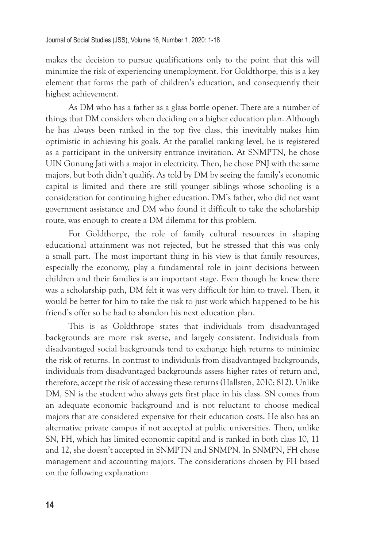makes the decision to pursue qualifications only to the point that this will minimize the risk of experiencing unemployment. For Goldthorpe, this is a key element that forms the path of children's education, and consequently their highest achievement.

As DM who has a father as a glass bottle opener. There are a number of things that DM considers when deciding on a higher education plan. Although he has always been ranked in the top five class, this inevitably makes him optimistic in achieving his goals. At the parallel ranking level, he is registered as a participant in the university entrance invitation. At SNMPTN, he chose UIN Gunung Jati with a major in electricity. Then, he chose PNJ with the same majors, but both didn't qualify. As told by DM by seeing the family's economic capital is limited and there are still younger siblings whose schooling is a consideration for continuing higher education. DM's father, who did not want government assistance and DM who found it difficult to take the scholarship route, was enough to create a DM dilemma for this problem.

For Goldthorpe, the role of family cultural resources in shaping educational attainment was not rejected, but he stressed that this was only a small part. The most important thing in his view is that family resources, especially the economy, play a fundamental role in joint decisions between children and their families is an important stage. Even though he knew there was a scholarship path, DM felt it was very difficult for him to travel. Then, it would be better for him to take the risk to just work which happened to be his friend's offer so he had to abandon his next education plan.

This is as Goldthrope states that individuals from disadvantaged backgrounds are more risk averse, and largely consistent. Individuals from disadvantaged social backgrounds tend to exchange high returns to minimize the risk of returns. In contrast to individuals from disadvantaged backgrounds, individuals from disadvantaged backgrounds assess higher rates of return and, therefore, accept the risk of accessing these returns (Hallsten, 2010: 812). Unlike DM, SN is the student who always gets first place in his class. SN comes from an adequate economic background and is not reluctant to choose medical majors that are considered expensive for their education costs. He also has an alternative private campus if not accepted at public universities. Then, unlike SN, FH, which has limited economic capital and is ranked in both class 10, 11 and 12, she doesn't accepted in SNMPTN and SNMPN. In SNMPN, FH chose management and accounting majors. The considerations chosen by FH based on the following explanation: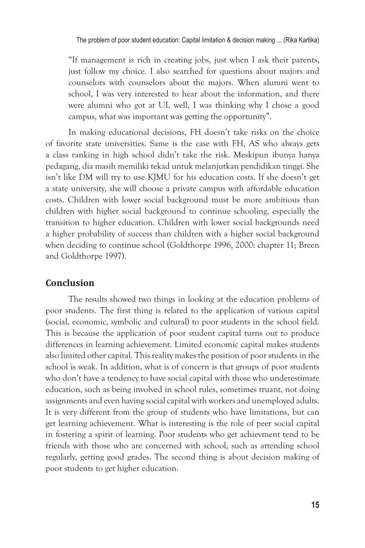"If management is rich in creating jobs, just when I ask their parents, just follow my choice. I also searched for questions about majors and counselors with counselors about the majors. When alumni went to school, I was very interested to hear about the information, and there were alumni who got at UI, well, I was thinking why I chose a good campus, what was important was getting the opportunity".

In making educational decisions, FH doesn't take risks on the choice of favorite state universities. Same is the case with FH, AS who always gets a class ranking in high school didn't take the risk. Meskipun ibunya hanya pedagang, dia masih memiliki tekad untuk melanjutkan pendidikan tinggi. She isn't like DM will try to use KJMU for his education costs. If she doesn't get a state university, she will choose a private campus with affordable education costs. Children with lower social background must be more ambitious than children with higher social background to continue schooling, especially the transition to higher education. Children with lower social backgrounds need a higher probability of success than children with a higher social background when deciding to continue school (Goldthorpe 1996, 2000: chapter 11; Breen and Goldthorpe 1997).

## **Conclusion**

The results showed two things in looking at the education problems of poor students. The first thing is related to the application of various capital (social, economic, symbolic and cultural) to poor students in the school field. This is because the application of poor student capital turns out to produce differences in learning achievement. Limited economic capital makes students also limited other capital. This reality makes the position of poor students in the school is weak. In addition, what is of concern is that groups of poor students who don't have a tendency to have social capital with those who underestimate education, such as being involved in school rules, sometimes truant, not doing assignments and even having social capital with workers and unemployed adults. It is very different from the group of students who have limitations, but can get learning achievement. What is interesting is the role of peer social capital in fostering a spirit of learning. Poor students who get achievment tend to be friends with those who are concerned with school, such as attending school regularly, getting good grades. The second thing is about decision making of poor students to get higher education.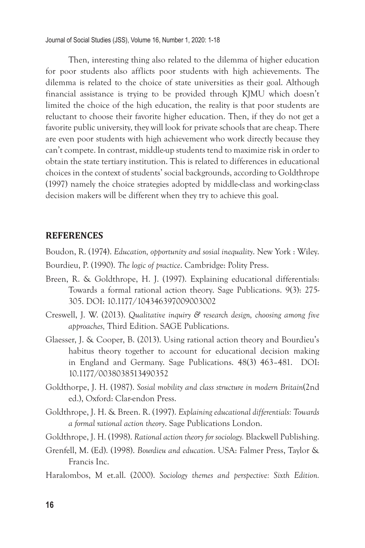Journal of Social Studies (JSS), Volume 16, Number 1, 2020: 1-18

Then, interesting thing also related to the dilemma of higher education for poor students also afflicts poor students with high achievements. The dilemma is related to the choice of state universities as their goal. Although financial assistance is trying to be provided through KJMU which doesn't limited the choice of the high education, the reality is that poor students are reluctant to choose their favorite higher education. Then, if they do not get a favorite public university, they will look for private schools that are cheap. There are even poor students with high achievement who work directly because they can't compete. In contrast, middle-up students tend to maximize risk in order to obtain the state tertiary institution. This is related to differences in educational choices in the context of students' social backgrounds, according to Goldthrope (1997) namely the choice strategies adopted by middle-class and working-class decision makers will be different when they try to achieve this goal.

#### **REFERENCES**

Boudon, R. (1974). *Education, opportunity and sosial inequality*. New York : Wiley. Bourdieu, P. (1990). *The logic of practice*. Cambridge: Polity Press.

- Breen, R. & Goldthrope, H. J. (1997). Explaining educational differentials: Towards a formal rational action theory. Sage Publications. 9(3): 275- 305. DOI: 10.1177/104346397009003002
- Creswell, J. W. (2013). *Qualitative inquiry & research design, choosing among five approaches,* Third Edition. SAGE Publications.
- Glaesser, J. & Cooper, B. (2013). Using rational action theory and Bourdieu's habitus theory together to account for educational decision making in England and Germany. Sage Publications. 48(3) 463–481. DOI: 10.1177/0038038513490352
- Goldthorpe, J. H. (1987). *Sosial mobility and class structure in modern Britain*(2nd ed.), Oxford: Clar-endon Press.
- Goldthrope, J. H. & Breen. R. (1997). *Explaining educational differentials: Towards a formal rational action theory*. Sage Publications London.
- Goldthrope, J. H. (1998). *Rational action theory for sociology.* Blackwell Publishing.
- Grenfell, M. (Ed). (1998). *Bourdieu and education*. USA: Falmer Press, Taylor & Francis Inc.
- Haralombos, M et.all. (2000). *Sociology themes and perspective: Sixth Edition.*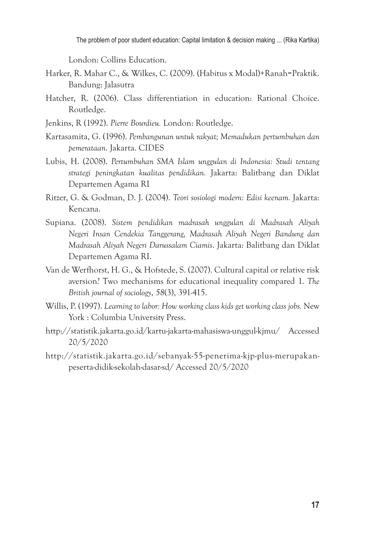The problem of poor student education: Capital limitation & decision making ... (Rika Kartika)

London: Collins Education.

- Harker, R. Mahar C., & Wilkes, C. (2009). (Habitus x Modal)+Ranah=Praktik. Bandung: Jalasutra
- Hatcher, R. (2006). Class differentiation in education: Rational Choice. Routledge.
- Jenkins, R (1992). *Pierre Bourdieu.* London: Routledge.
- Kartasamita, G. (1996). *Pembangunan untuk rakyat; Memadukan pertumbuhan dan pemerataan*. Jakarta. CIDES
- Lubis, H. (2008). *Pertumbuhan SMA Islam unggulan di Indonesia: Studi tentang strategi peningkatan kualitas pendidikan.* Jakarta: Balitbang dan Diklat Departemen Agama RI
- Ritzer, G. & Godman, D. J. (2004). *Teori sosiologi modern: Edisi keenam.* Jakarta: Kencana.
- Supiana. (2008). *Sistem pendidikan madrasah unggulan di Madrasah Aliyah Negeri Insan Cendekia Tanggerang, Madrasah Aliyah Negeri Bandung dan Madrasah Aliyah Negeri Darussalam Ciamis*. Jakarta: Balitbang dan Diklat Departemen Agama RI.
- Van de Werfhorst, H. G., & Hofstede, S. (2007). Cultural capital or relative risk aversion? Two mechanisms for educational inequality compared 1. *The British journal of sociology*, *58*(3), 391-415.
- Willis, P. (1997). *Learning to labor: How working class kids get working class jobs.* New York : Columbia University Press.
- http://statistik.jakarta.go.id/kartu-jakarta-mahasiswa-unggul-kjmu/ Accessed 20/5/2020
- http://statistik.jakarta.go.id/sebanyak-55-penerima-kjp-plus-merupakanpeserta-didik-sekolah-dasar-sd/ Accessed 20/5/2020